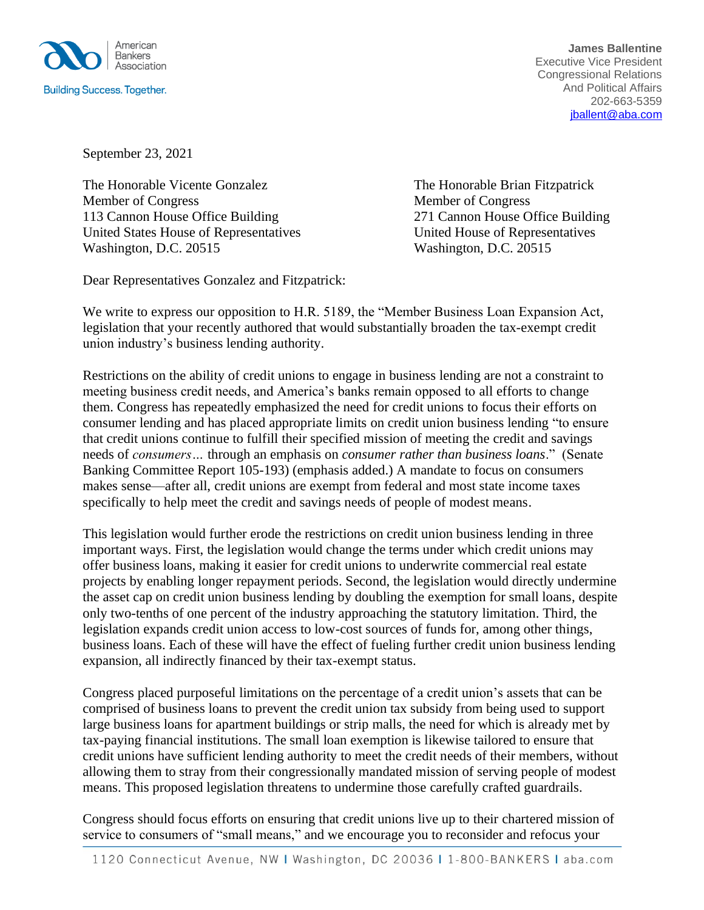

**James Ballentine** Executive Vice President Congressional Relations And Political Affairs 202-663-5359 [jballent@aba.com](mailto:jballent@aba.com)

September 23, 2021

The Honorable Vicente Gonzalez The Honorable Brian Fitzpatrick Member of Congress Member of Congress 113 Cannon House Office Building 271 Cannon House Office Building United States House of Representatives United House of Representatives Washington, D.C. 20515 Washington, D.C. 20515

Dear Representatives Gonzalez and Fitzpatrick:

We write to express our opposition to H.R. 5189, the "Member Business Loan Expansion Act, legislation that your recently authored that would substantially broaden the tax-exempt credit union industry's business lending authority.

Restrictions on the ability of credit unions to engage in business lending are not a constraint to meeting business credit needs, and America's banks remain opposed to all efforts to change them. Congress has repeatedly emphasized the need for credit unions to focus their efforts on consumer lending and has placed appropriate limits on credit union business lending "to ensure that credit unions continue to fulfill their specified mission of meeting the credit and savings needs of *consumers…* through an emphasis on *consumer rather than business loans*." (Senate Banking Committee Report 105-193) (emphasis added.) A mandate to focus on consumers makes sense—after all, credit unions are exempt from federal and most state income taxes specifically to help meet the credit and savings needs of people of modest means.

This legislation would further erode the restrictions on credit union business lending in three important ways. First, the legislation would change the terms under which credit unions may offer business loans, making it easier for credit unions to underwrite commercial real estate projects by enabling longer repayment periods. Second, the legislation would directly undermine the asset cap on credit union business lending by doubling the exemption for small loans, despite only two-tenths of one percent of the industry approaching the statutory limitation. Third, the legislation expands credit union access to low-cost sources of funds for, among other things, business loans. Each of these will have the effect of fueling further credit union business lending expansion, all indirectly financed by their tax-exempt status.

Congress placed purposeful limitations on the percentage of a credit union's assets that can be comprised of business loans to prevent the credit union tax subsidy from being used to support large business loans for apartment buildings or strip malls, the need for which is already met by tax-paying financial institutions. The small loan exemption is likewise tailored to ensure that credit unions have sufficient lending authority to meet the credit needs of their members, without allowing them to stray from their congressionally mandated mission of serving people of modest means. This proposed legislation threatens to undermine those carefully crafted guardrails.

Congress should focus efforts on ensuring that credit unions live up to their chartered mission of service to consumers of "small means," and we encourage you to reconsider and refocus your